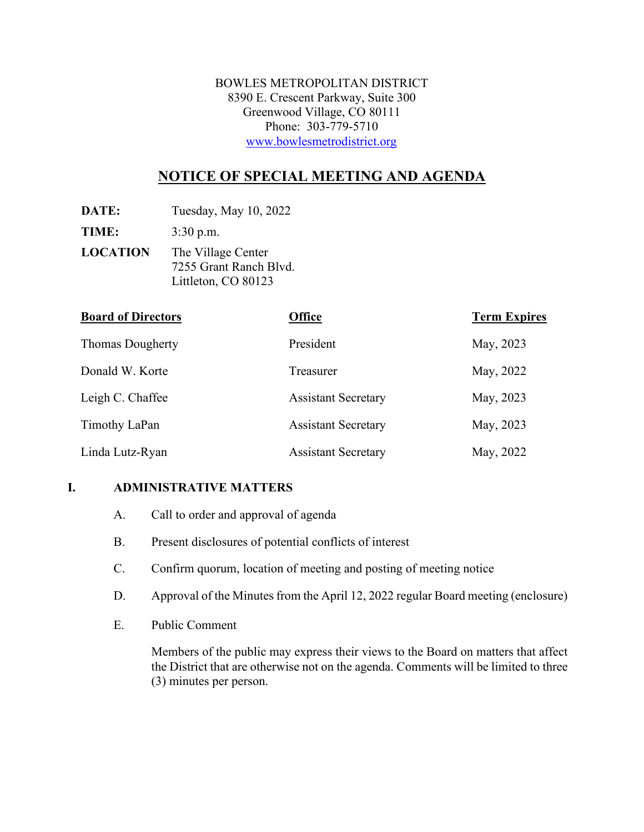BOWLES METROPOLITAN DISTRICT 8390 E. Crescent Parkway, Suite 300 Greenwood Village, CO 80111 Phone: 303-779-5710 [www.bowlesmetrodistrict.org](http://www.bowlesmetrodistrict.org/) 

# **NOTICE OF SPECIAL MEETING AND AGENDA**

**DATE:** Tuesday, May 10, 2022

**TIME:** 3:30 p.m.

**LOCATION** The Village Center 7255 Grant Ranch Blvd. Littleton, CO 80123

| <b>Board of Directors</b> | <b>Office</b>              | <b>Term Expires</b> |
|---------------------------|----------------------------|---------------------|
| <b>Thomas Dougherty</b>   | President                  | May, 2023           |
| Donald W. Korte           | Treasurer                  | May, 2022           |
| Leigh C. Chaffee          | <b>Assistant Secretary</b> | May, 2023           |
| Timothy LaPan             | <b>Assistant Secretary</b> | May, 2023           |
| Linda Lutz-Ryan           | <b>Assistant Secretary</b> | May, 2022           |

## **I. ADMINISTRATIVE MATTERS**

- A. Call to order and approval of agenda
- B. Present disclosures of potential conflicts of interest
- C. Confirm quorum, location of meeting and posting of meeting notice
- D. Approval of the Minutes from the April 12, 2022 regular Board meeting (enclosure)
- E. Public Comment

Members of the public may express their views to the Board on matters that affect the District that are otherwise not on the agenda. Comments will be limited to three (3) minutes per person.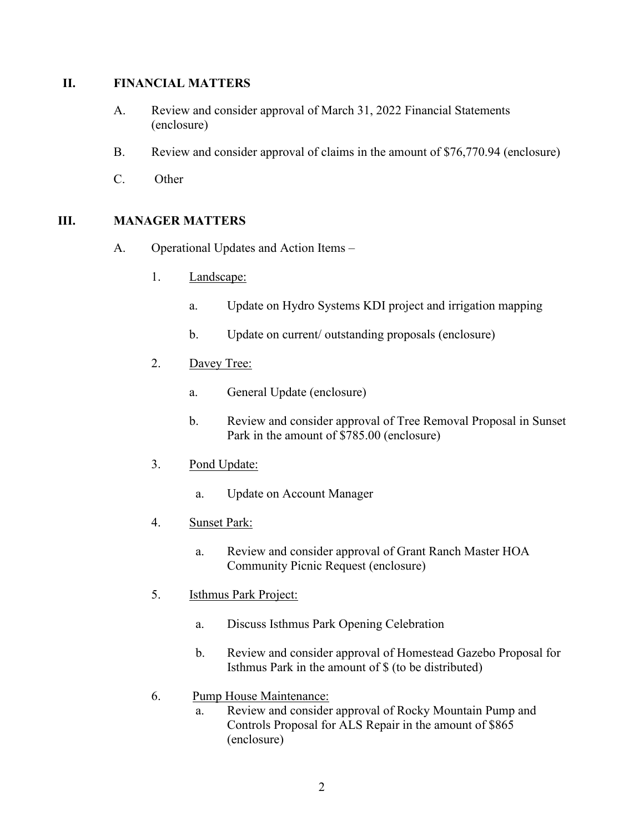#### **II. FINANCIAL MATTERS**

- A. Review and consider approval of March 31, 2022 Financial Statements (enclosure)
- B. Review and consider approval of claims in the amount of \$76,770.94 (enclosure)
- C. Other

#### **III. MANAGER MATTERS**

- A. Operational Updates and Action Items
	- 1. Landscape:
		- a. Update on Hydro Systems KDI project and irrigation mapping
		- b. Update on current/ outstanding proposals (enclosure)
	- 2. Davey Tree:
		- a. General Update (enclosure)
		- b. Review and consider approval of Tree Removal Proposal in Sunset Park in the amount of \$785.00 (enclosure)
	- 3. Pond Update:
		- a. Update on Account Manager
	- 4. Sunset Park:
		- a. Review and consider approval of Grant Ranch Master HOA Community Picnic Request (enclosure)
	- 5. Isthmus Park Project:
		- a. Discuss Isthmus Park Opening Celebration
		- b. Review and consider approval of Homestead Gazebo Proposal for Isthmus Park in the amount of \$ (to be distributed)
	- 6. Pump House Maintenance:
		- a. Review and consider approval of Rocky Mountain Pump and Controls Proposal for ALS Repair in the amount of \$865 (enclosure)